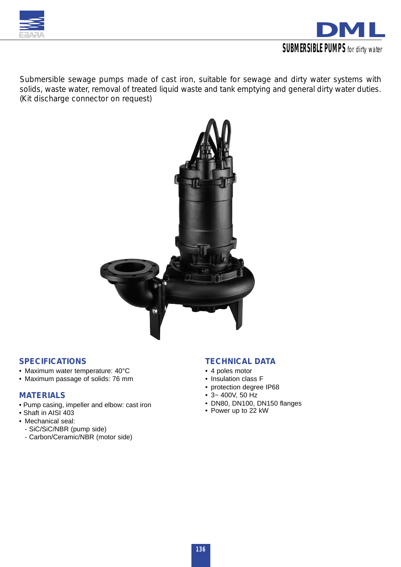



*Submersible sewage pumps made of cast iron, suitable for sewage and dirty water systems with solids, waste water, removal of treated liquid waste and tank emptying and general dirty water duties. (Kit discharge connector on request)*



### *SPECIFICATIONS*

- Maximum water temperature: 40°C
- Maximum passage of solids: 76 mm

### *MATERIALS*

- Pump casing, impeller and elbow: cast iron
- Shaft in AISI 403
- Mechanical seal:
	- SiC/SiC/NBR (pump side)
	- Carbon/Ceramic/NBR (motor side)

## *TECHNICAL DATA*

- 4 poles motor
- Insulation class F
- protection degree IP68
- 3~ 400V, 50 Hz
- DN80, DN100, DN150 flanges
- Power up to 22 kW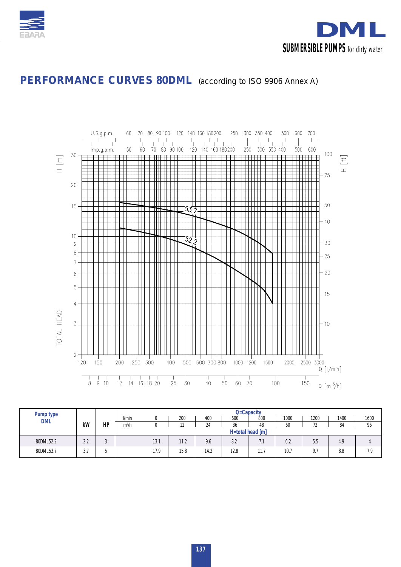



## *PERFORMANCE CURVES 80DML (according to ISO 9906 Annex A)*



| Pump type  |                      |    |         |                  |                     |      |      |                       |      |                                            | Q=Capacity |      |  |  |  |  |  |  |  |  |  |  |  |  |
|------------|----------------------|----|---------|------------------|---------------------|------|------|-----------------------|------|--------------------------------------------|------------|------|--|--|--|--|--|--|--|--|--|--|--|--|
| <b>DML</b> |                      |    | l/min   | 0                | 200                 | 400  | 600  | 800                   | 1000 | 1200                                       | 1400       | 1600 |  |  |  |  |  |  |  |  |  |  |  |  |
|            | kW                   | HP | $m^3/h$ | 0                | 1 <sub>0</sub><br>▵ | 24   | 36   | 48                    | 60   | 72                                         | 84         | 96   |  |  |  |  |  |  |  |  |  |  |  |  |
|            |                      |    |         | H=total head [m] |                     |      |      |                       |      |                                            |            |      |  |  |  |  |  |  |  |  |  |  |  |  |
| 80DML52.2  | າ າ<br>$\sim$        |    |         | 13.1             | 11.2                | 9.6  | 8.2  | ¬⊿<br>$\cdot$ $\cdot$ | 6.2  | 5.5                                        | 4.9        |      |  |  |  |  |  |  |  |  |  |  |  |  |
| 80DML53.7  | $\sim$ $\sim$<br>ن ب |    |         | 17.9             | 15.8                | 14.2 | 12.8 | 11.7                  | 10.7 | 0 <sub>7</sub><br>$\overline{\phantom{a}}$ | 8.8        | 7.9  |  |  |  |  |  |  |  |  |  |  |  |  |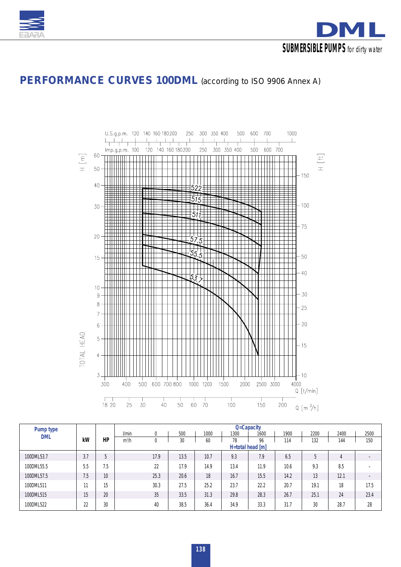



## *PERFORMANCE CURVES 100DML (according to ISO 9906 Annex A)*



| Pump type  |     |     |         |          |      |      | Q=Capacity |      |      |      |      |      |  |  |  |  |  |  |  |  |
|------------|-----|-----|---------|----------|------|------|------------|------|------|------|------|------|--|--|--|--|--|--|--|--|
| <b>DML</b> |     |     | l/min   | $\theta$ | 500  | 1000 | 1300       | 1600 | 1900 | 2200 | 2400 | 2500 |  |  |  |  |  |  |  |  |
|            | kW  | HP  | $m^3/h$ | 0        | 30   | 60   | 78         | 96   | 114  | 132  | 144  | 150  |  |  |  |  |  |  |  |  |
|            |     |     |         |          |      |      |            |      |      |      |      |      |  |  |  |  |  |  |  |  |
| 100DML53.7 | 3.7 | 5   |         | 17.9     | 13.5 | 10.7 | 9.3        | 7.9  | 6.5  | 5    | 4    |      |  |  |  |  |  |  |  |  |
| 100DML55.5 | 5.5 | 7.5 |         | 22       | 17.9 | 14.9 | 13.4       | 11.9 | 10.6 | 9.3  | 8.5  |      |  |  |  |  |  |  |  |  |
| 100DML57.5 | 7.5 | 10  |         | 25.3     | 20.6 | 18   | 16.7       | 15.5 | 14.2 | 13   | 12.1 |      |  |  |  |  |  |  |  |  |
| 100DML511  | 11  | 15  |         | 30.3     | 27.5 | 25.2 | 23.7       | 22.2 | 20.7 | 19.1 | 18   | 17.5 |  |  |  |  |  |  |  |  |
| 100DML515  | 15  | 20  |         | 35       | 33.5 | 31.3 | 29.8       | 28.3 | 26.7 | 25.1 | 24   | 23.4 |  |  |  |  |  |  |  |  |
| 100DML522  | 22  | 30  |         | 40       | 38.5 | 36.4 | 34.9       | 33.3 | 31.7 | 30   | 28.7 | 28   |  |  |  |  |  |  |  |  |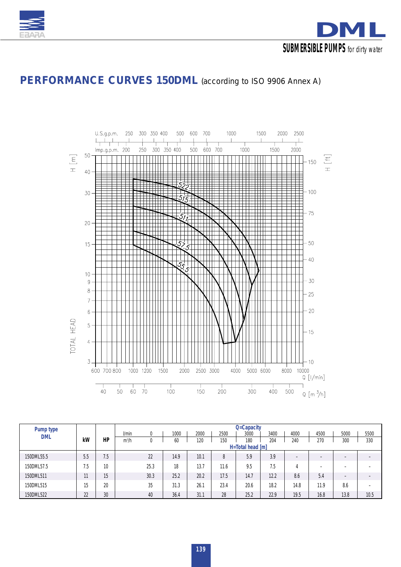



## *PERFORMANCE CURVES 150DML (according to ISO 9906 Annex A)*



| Pump type  |     |                 |         |                  |      |      |      | Q=Capacity |      |                          |                          |                          |                          |  |  |  |  |
|------------|-----|-----------------|---------|------------------|------|------|------|------------|------|--------------------------|--------------------------|--------------------------|--------------------------|--|--|--|--|
| <b>DML</b> |     |                 | l/min   | 0                | 1000 | 2000 | 2500 | 3000       | 3400 | 4000                     | 4500                     | 5000                     | 5500                     |  |  |  |  |
|            | kW  | HP              | $m^3/h$ | 0                | 60   | 120  | 150  | 180        | 204  | 240                      | 270                      | 300                      | 330                      |  |  |  |  |
|            |     |                 |         | H=Total head [m] |      |      |      |            |      |                          |                          |                          |                          |  |  |  |  |
| 150DML55.5 | 5.5 | 7.5             |         | 22               | 14.9 | 10.1 | 8    | 5.9        | 3.9  | $\overline{\phantom{a}}$ | $-$                      | $\overline{\phantom{0}}$ | $\overline{\phantom{0}}$ |  |  |  |  |
| 150DML57.5 | '.5 | 10              |         | 25.3             | 18   | 13.7 | 11.6 | 9.5        | 7.5  | 4                        | $\overline{\phantom{a}}$ | $\overline{\phantom{a}}$ |                          |  |  |  |  |
| 150DML511  | 11  | 15 <sup>5</sup> |         | 30.3             | 25.2 | 20.2 | 17.5 | 14.7       | 12.2 | 8.6                      | 5.4                      | $\overline{\phantom{0}}$ | $\overline{\phantom{0}}$ |  |  |  |  |
| 150DML515  | 15  | 20              |         | 35               | 31.3 | 26.1 | 23.4 | 20.6       | 18.2 | 14.8                     | 11.9                     | 8.6                      | $\overline{\phantom{0}}$ |  |  |  |  |
| 150DML522  | 22  | 30              |         | 40               | 36.4 | 31.1 | 28   | 25.2       | 22.9 | 19.5                     | 16.8                     | 13.8                     | 10.5                     |  |  |  |  |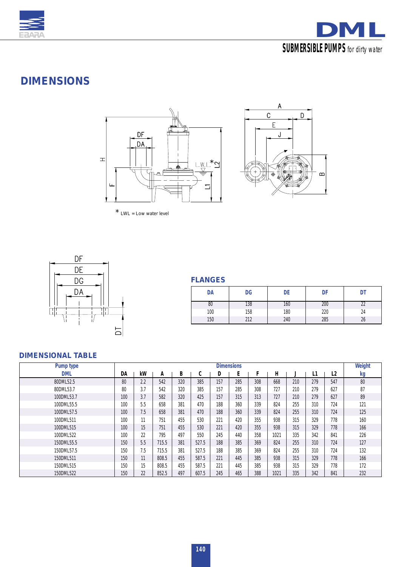



# *DIMENSIONS*





*\* LWL = Low water level*



| DA  | DG  | DE  | DF  | DT |
|-----|-----|-----|-----|----|
| 80  | 138 | 160 | 200 |    |
| 100 | 158 | 180 | 220 | 24 |
| 150 | 212 | 240 | 285 | 26 |

## *DIMENSIONAL TABLE*

| Pump type  |     |     |       |     |        |     | <b>Dimensions</b> |     |      |     |     |     | Weight |
|------------|-----|-----|-------|-----|--------|-----|-------------------|-----|------|-----|-----|-----|--------|
| <b>DML</b> | DA  | kW  | A     | в   | ◠<br>U | D   | Ε                 |     | H.   |     | Ш   | L2  | kg     |
| 80DML52.5  | 80  | 2.2 | 542   | 320 | 385    | 157 | 285               | 308 | 668  | 210 | 279 | 547 | 80     |
| 80DML53.7  | 80  | 3.7 | 542   | 320 | 385    | 157 | 285               | 308 | 727  | 210 | 279 | 627 | 87     |
| 100DML53.7 | 100 | 3.7 | 582   | 320 | 425    | 157 | 315               | 313 | 727  | 210 | 279 | 627 | 89     |
| 100DML55.5 | 100 | 5.5 | 658   | 381 | 470    | 188 | 360               | 339 | 824  | 255 | 310 | 724 | 121    |
| 100DML57.5 | 100 | 7.5 | 658   | 381 | 470    | 188 | 360               | 339 | 824  | 255 | 310 | 724 | 125    |
| 100DML511  | 100 | 11  | 751   | 455 | 530    | 221 | 420               | 355 | 938  | 315 | 329 | 778 | 160    |
| 100DML515  | 100 | 15  | 751   | 455 | 530    | 221 | 420               | 355 | 938  | 315 | 329 | 778 | 166    |
| 100DML522  | 100 | 22  | 795   | 497 | 550    | 245 | 440               | 358 | 1021 | 335 | 342 | 841 | 226    |
| 150DML55.5 | 150 | 5.5 | 715.5 | 381 | 527.5  | 188 | 385               | 369 | 824  | 255 | 310 | 724 | 127    |
| 150DML57.5 | 150 | 7.5 | 715.5 | 381 | 527.5  | 188 | 385               | 369 | 824  | 255 | 310 | 724 | 132    |
| 150DML511  | 150 | 11  | 808.5 | 455 | 587.5  | 221 | 445               | 385 | 938  | 315 | 329 | 778 | 166    |
| 150DML515  | 150 | 15  | 808.5 | 455 | 587.5  | 221 | 445               | 385 | 938  | 315 | 329 | 778 | 172    |
| 150DML522  | 150 | 22  | 852.5 | 497 | 607.5  | 245 | 465               | 388 | 1021 | 335 | 342 | 841 | 232    |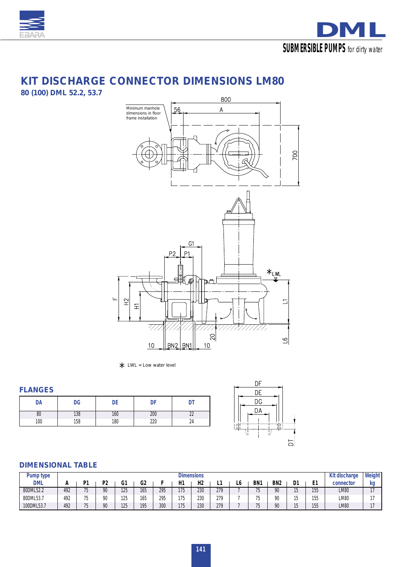



## *KIT DISCHARGE CONNECTOR DIMENSIONS LM80*

*80 (100) DML 52.2, 53.7* 



*\* LWL = Low water level*

### *FLANGES*

| DA  | DG  |     | υı  |    |
|-----|-----|-----|-----|----|
| 0U  | 138 | 160 | 200 |    |
| 100 | 158 | 180 | 220 | 24 |



## *DIMENSIONAL TABLE*

| Pump type  |     | <b>Dimensions</b> |                |     |     |     |     |                |     |    |                 |                 |    |          |             | Weight |
|------------|-----|-------------------|----------------|-----|-----|-----|-----|----------------|-----|----|-----------------|-----------------|----|----------|-------------|--------|
| <b>DML</b> |     | n.                | P <sub>2</sub> | G1  | G2  |     | H1  | H <sub>2</sub> |     | LO | BN <sub>1</sub> | BN <sub>2</sub> | D1 | Ŀ.<br>┗. | connector   | kg     |
| 80DML52.2  | 492 | --                | 90             | 125 | 165 | 295 | 175 | 230            | 279 |    | --              | 90              | 1F | 155      | LM80        |        |
| 80DML53.7  | 492 |                   | 90             | 125 | 165 | 295 | 175 | 230            | 279 |    |                 | 90              | 4F | 155      | LM80        |        |
| 100DML53.7 | 492 | --                | 90             | 125 | 195 | 300 | 175 | 230            | 279 |    | --              | 90              | 1F | 155      | <b>LM80</b> | $\sim$ |